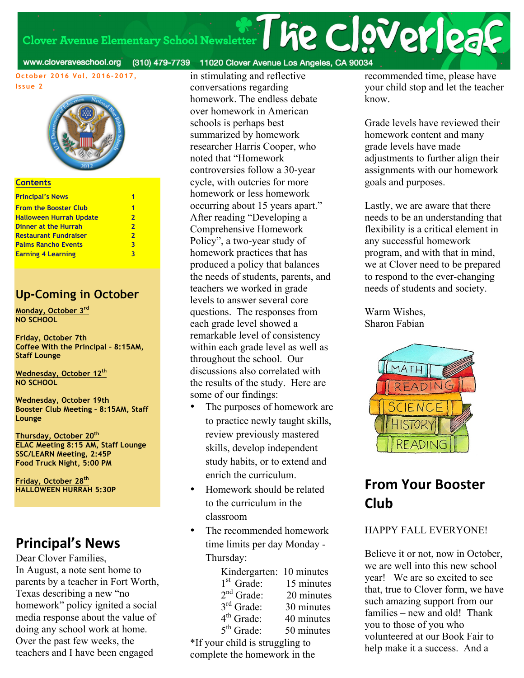# Clover Avenue Elementary School Newsletter

#### www.cloveraveschool.org (310) 479-7739 11020 Clover Avenue Los Angeles, CA 90034

**October 2016 Vol. 2016-2017, Issue 2**



#### **Contents**

| 1              |
|----------------|
| $\mathbf{2}$   |
| $\overline{2}$ |
| $\overline{2}$ |
| 3              |
| ર              |
|                |

#### **Up-Coming in October**

**Monday, October 3rd NO SCHOOL**

**Friday, October 7th Coffee With the Principal – 8:15AM, Staff Lounge**

**Wednesday, October 12th NO SCHOOL**

**Wednesday, October 19th Booster Club Meeting – 8:15AM, Staff Lounge**

**Thursday, October 20th ELAC Meeting 8:15 AM, Staff Lounge SSC/LEARN Meeting, 2:45P Food Truck Night, 5:00 PM**

**Friday, October 28th HALLOWEEN HURRAH 5:30P**

### **Principal's News**

Dear Clover Families, In August, a note sent home to parents by a teacher in Fort Worth, Texas describing a new "no homework" policy ignited a social media response about the value of doing any school work at home. Over the past few weeks, the teachers and I have been engaged

in stimulating and reflective conversations regarding homework. The endless debate over homework in American schools is perhaps best summarized by homework researcher Harris Cooper, who noted that "Homework controversies follow a 30-year cycle, with outcries for more homework or less homework occurring about 15 years apart." After reading "Developing a Comprehensive Homework Policy", a two-year study of homework practices that has produced a policy that balances the needs of students, parents, and teachers we worked in grade levels to answer several core questions. The responses from each grade level showed a remarkable level of consistency within each grade level as well as throughout the school. Our discussions also correlated with the results of the study. Here are some of our findings:

- The purposes of homework are to practice newly taught skills, review previously mastered skills, develop independent study habits, or to extend and enrich the curriculum.
- Homework should be related to the curriculum in the classroom
- The recommended homework time limits per day Monday - Thursday:

| Kindergarten: 10 minutes  |            |
|---------------------------|------------|
| $1st$ Grade:              | 15 minutes |
| $2nd$ Grade:              | 20 minutes |
| 3rd Grade:                | 30 minutes |
| $4th$ Grade:              | 40 minutes |
| $5th$ Grade:              | 50 minutes |
| ur child is struggling to |            |

 $*$ If your complete the homework in the recommended time, please have your child stop and let the teacher know.

**Fie Claverleag** 

Grade levels have reviewed their homework content and many grade levels have made adjustments to further align their assignments with our homework goals and purposes.

Lastly, we are aware that there needs to be an understanding that flexibility is a critical element in any successful homework program, and with that in mind, we at Clover need to be prepared to respond to the ever-changing needs of students and society.

Warm Wishes, Sharon Fabian



### **From Your Booster Club**

#### HAPPY FALL EVERYONE!

Believe it or not, now in October, we are well into this new school year! We are so excited to see that, true to Clover form, we have such amazing support from our families – new and old! Thank you to those of you who volunteered at our Book Fair to help make it a success. And a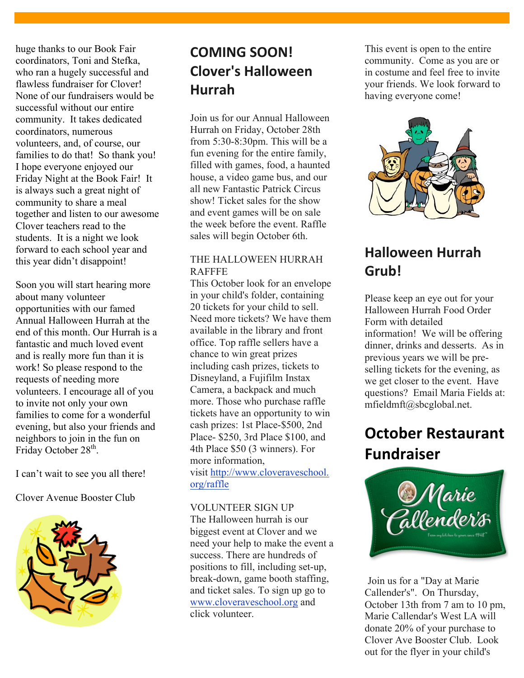huge thanks to our Book Fair coordinators, Toni and Stefka, who ran a hugely successful and flawless fundraiser for Clover! None of our fundraisers would be successful without our entire community. It takes dedicated coordinators, numerous volunteers, and, of course, our families to do that! So thank you! I hope everyone enjoyed our Friday Night at the Book Fair! It is always such a great night of community to share a meal together and listen to our awesome Clover teachers read to the students. It is a night we look forward to each school year and this year didn't disappoint!

Soon you will start hearing more about many volunteer opportunities with our famed Annual Halloween Hurrah at the end of this month. Our Hurrah is a fantastic and much loved event and is really more fun than it is work! So please respond to the requests of needing more volunteers. I encourage all of you to invite not only your own families to come for a wonderful evening, but also your friends and neighbors to join in the fun on Friday October 28<sup>th</sup>.

I can't wait to see you all there!

Clover Avenue Booster Club



### **COMING SOON! Clover's Halloween Hurrah**

Join us for our Annual Halloween Hurrah on Friday, October 28th from 5:30-8:30pm. This will be a fun evening for the entire family, filled with games, food, a haunted house, a video game bus, and our all new Fantastic Patrick Circus show! Ticket sales for the show and event games will be on sale the week before the event. Raffle sales will begin October 6th.

#### THE HALLOWEEN HURRAH RAFFFE

This October look for an envelope in your child's folder, containing 20 tickets for your child to sell. Need more tickets? We have them available in the library and front office. Top raffle sellers have a chance to win great prizes including cash prizes, tickets to Disneyland, a Fujifilm Instax Camera, a backpack and much more. Those who purchase raffle tickets have an opportunity to win cash prizes: 1st Place-\$500, 2nd Place- \$250, 3rd Place \$100, and 4th Place \$50 (3 winners). For more information, visit http://www.cloveraveschool. org/raffle

#### VOLUNTEER SIGN UP

The Halloween hurrah is our biggest event at Clover and we need your help to make the event a success. There are hundreds of positions to fill, including set-up, break-down, game booth staffing, and ticket sales. To sign up go to www.cloveraveschool.org and click volunteer.

This event is open to the entire community. Come as you are or in costume and feel free to invite your friends. We look forward to having everyone come!



### **Halloween Hurrah Grub!**

Please keep an eye out for your Halloween Hurrah Food Order Form with detailed information! We will be offering dinner, drinks and desserts. As in previous years we will be preselling tickets for the evening, as we get closer to the event. Have questions? Email Maria Fields at: mfieldmft@sbcglobal.net.

## **October Restaurant Fundraiser**



Join us for a "Day at Marie Callender's". On Thursday, October 13th from 7 am to 10 pm, Marie Callendar's West LA will donate 20% of your purchase to Clover Ave Booster Club. Look out for the flyer in your child's